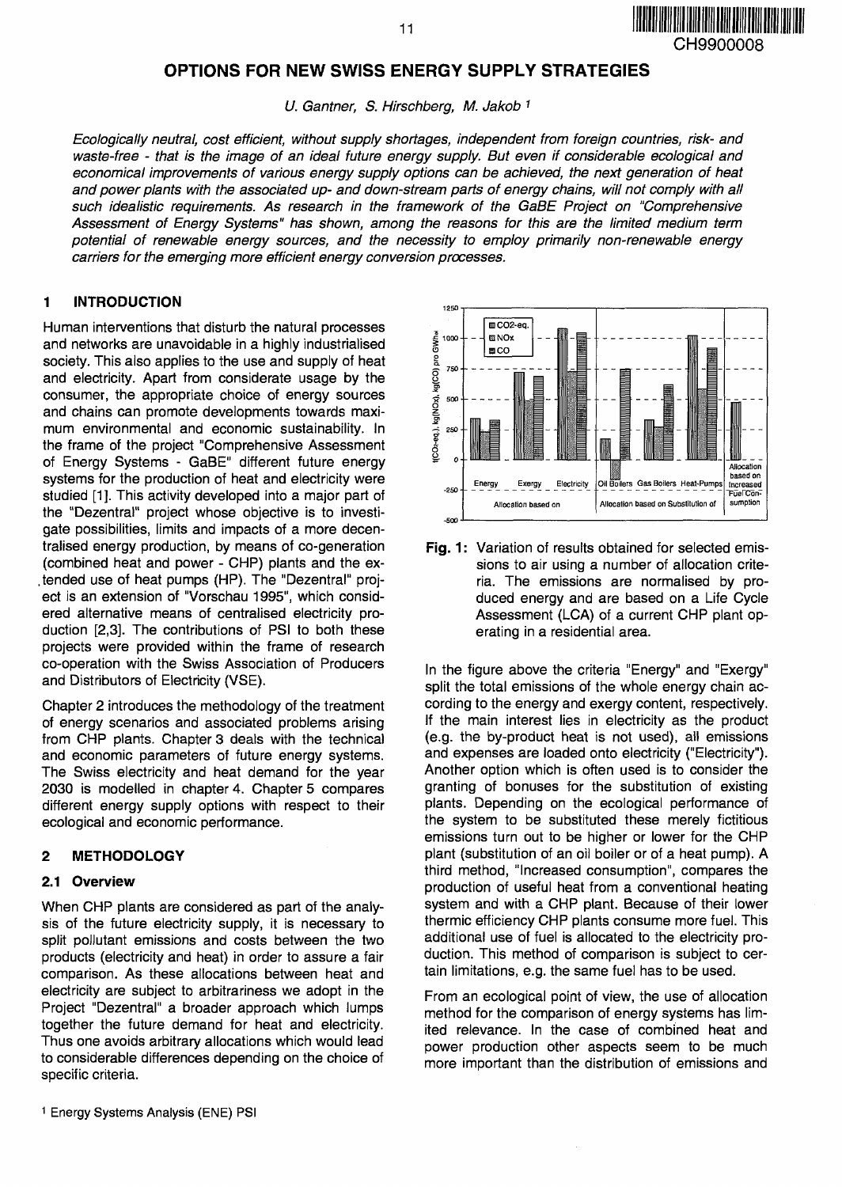

# **OPTIONS FOR NEW SWISS ENERGY SUPPLY STRATEGIES**

U. Gantner, S. Hirschberg, M. Jakob 1

Ecologically neutral, cost efficient, without supply shortages, independent from foreign countries, risk- and waste-free - that is the image of an ideal future energy supply. But even if considerable ecological and economical improvements of various energy supply options can be achieved, the next generation of heat and power plants with the associated up- and down-stream parts of energy chains, will not comply with all such idealistic requirements. As research in the framework of the GaBE Project on "Comprehensive Assessment of Energy Systems" has shown, among the reasons for this are the limited medium term potential of renewable energy sources, and the necessity to employ primarily non-renewable energy carriers for the emerging more efficient energy conversion processes.

# **1 INTRODUCTION**

Human interventions that disturb the natural processes and networks are unavoidable in a highly industrialised society. This also applies to the use and supply of heat and electricity. Apart from considerate usage by the consumer, the appropriate choice of energy sources and chains can promote developments towards maximum environmental and economic sustainability. In the frame of the project "Comprehensive Assessment of Energy Systems - GaBE" different future energy systems for the production of heat and electricity were studied [1]. This activity developed into a major part of the "Dezentral" project whose objective is to investigate possibilities, limits and impacts of a more decentralised energy production, by means of co-generation (combined heat and power - CHP) plants and the ex tended use of heat pumps (HP). The "Dezentral" project is an extension of "Vorschau 1995", which considered alternative means of centralised electricity production [2,3]. The contributions of PSI to both these projects were provided within the frame of research co-operation with the Swiss Association of Producers and Distributors of Electricity (VSE).

Chapter 2 introduces the methodology of the treatment of energy scenarios and associated problems arising from CHP plants. Chapter 3 deals with the technical and economic parameters of future energy systems. The Swiss electricity and heat demand for the year 2030 is modelled in chapter 4. Chapter 5 compares different energy supply options with respect to their ecological and economic performance.

### **2 METHODOLOGY**

#### **2.1 Overview**

When CHP plants are considered as part of the analysis of the future electricity supply, it is necessary to split pollutant emissions and costs between the two products (electricity and heat) in order to assure a fair comparison. As these allocations between heat and electricity are subject to arbitrariness we adopt in the Project "Dezentral" a broader approach which lumps together the future demand for heat and electricity. Thus one avoids arbitrary allocations which would lead to considerable differences depending on the choice of specific criteria.



**Fig.** 1: Variation of results obtained for selected emissions to air using a number of allocation criteria. The emissions are normalised by produced energy and are based on a Life Cycle Assessment (LCA) of a current CHP plant operating in a residential area.

In the figure above the criteria "Energy" and "Exergy" split the total emissions of the whole energy chain according to the energy and exergy content, respectively. If the main interest lies in electricity as the product (e.g. the by-product heat is not used), all emissions and expenses are loaded onto electricity ("Electricity"). Another option which is often used is to consider the granting of bonuses for the substitution of existing plants. Depending on the ecological performance of the system to be substituted these merely fictitious emissions turn out to be higher or lower for the CHP plant (substitution of an oil boiler or of a heat pump). A third method, "Increased consumption", compares the production of useful heat from a conventional heating system and with a CHP plant. Because of their lower thermic efficiency CHP plants consume more fuel. This additional use of fuel is allocated to the electricity production. This method of comparison is subject to certain limitations, e.g. the same fuel has to be used.

From an ecological point of view, the use of allocation method for the comparison of energy systems has limited relevance. In the case of combined heat and power production other aspects seem to be much more important than the distribution of emissions and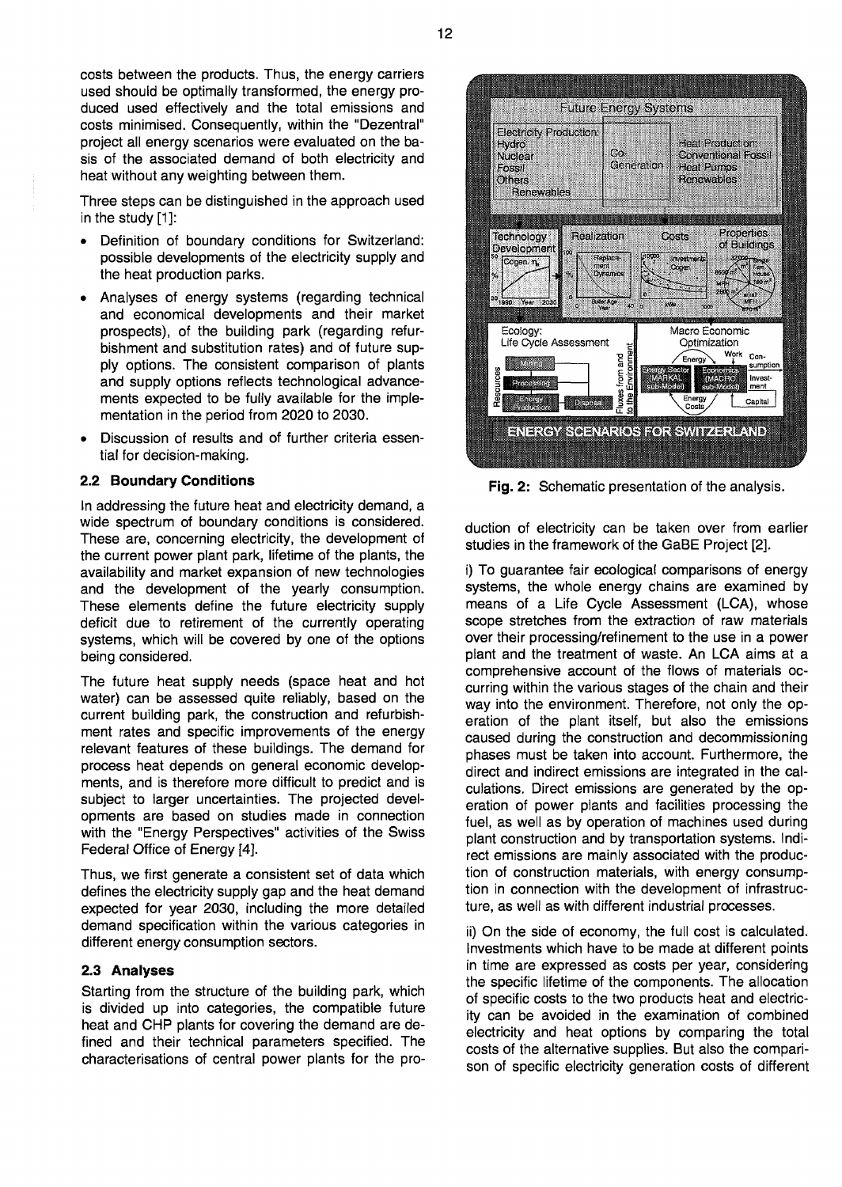costs between the products. Thus, the energy carriers used should be optimally transformed, the energy produced used effectively and the total emissions and costs minimised. Consequently, within the "Dezentral" project all energy scenarios were evaluated on the basis of the associated demand of both electricity and heat without any weighting between them.

Three steps can be distinguished in the approach used in the study [1]:

- Definition of boundary conditions for Switzerland: possible developments of the electricity supply and the heat production parks.
- Analyses of energy systems (regarding technical and economical developments and their market prospects), of the building park (regarding refurbishment and substitution rates) and of future supply options. The consistent comparison of plants and supply options reflects technological advancements expected to be fully available for the implementation in the period from 2020 to 2030.
- Discussion of results and of further criteria essential for decision-making.

### **2.2 Boundary Conditions**

In addressing the future heat and electricity demand, a wide spectrum of boundary conditions is considered. These are, concerning electricity, the development of the current power plant park, lifetime of the plants, the availability and market expansion of new technologies and the development of the yearly consumption. These elements define the future electricity supply deficit due to retirement of the currently operating systems, which will be covered by one of the options being considered.

The future heat supply needs (space heat and hot water) can be assessed quite reliably, based on the current building park, the construction and refurbishment rates and specific improvements of the energy relevant features of these buildings. The demand for process heat depends on general economic developments, and is therefore more difficult to predict and is subject to larger uncertainties. The projected developments are based on studies made in connection with the "Energy Perspectives" activities of the Swiss Federal Office of Energy [4].

Thus, we first generate a consistent set of data which defines the electricity supply gap and the heat demand expected for year 2030, including the more detailed demand specification within the various categories in different energy consumption sectors.

### **2.3 Analyses**

Starting from the structure of the building park, which is divided up into categories, the compatible future heat and CHP plants for covering the demand are defined and their technical parameters specified. The characterisations of central power plants for the pro-



**Fig.** 2: Schematic presentation of the analysis.

duction of electricity can be taken over from earlier studies in the framework of the GaBE Project [2].

i) To guarantee fair ecological comparisons of energy systems, the whole energy chains are examined by means of a Life Cycle Assessment (LCA), whose scope stretches from the extraction of raw materials over their processing/refinement to the use in a power plant and the treatment of waste. An LCA aims at a comprehensive account of the flows of materials occurring within the various stages of the chain and their way into the environment. Therefore, not only the operation of the plant itself, but also the emissions caused during the construction and decommissioning phases must be taken into account. Furthermore, the direct and indirect emissions are integrated in the calculations. Direct emissions are generated by the operation of power plants and facilities processing the fuel, as well as by operation of machines used during plant construction and by transportation systems. Indirect emissions are mainly associated with the production of construction materials, with energy consumption in connection with the development of infrastructure, as well as with different industrial processes.

ii) On the side of economy, the full cost is calculated. Investments which have to be made at different points in time are expressed as costs per year, considering the specific lifetime of the components. The allocation of specific costs to the two products heat and electricity can be avoided in the examination of combined electricity and heat options by comparing the total costs of the alternative supplies. But also the comparison of specific electricity generation costs of different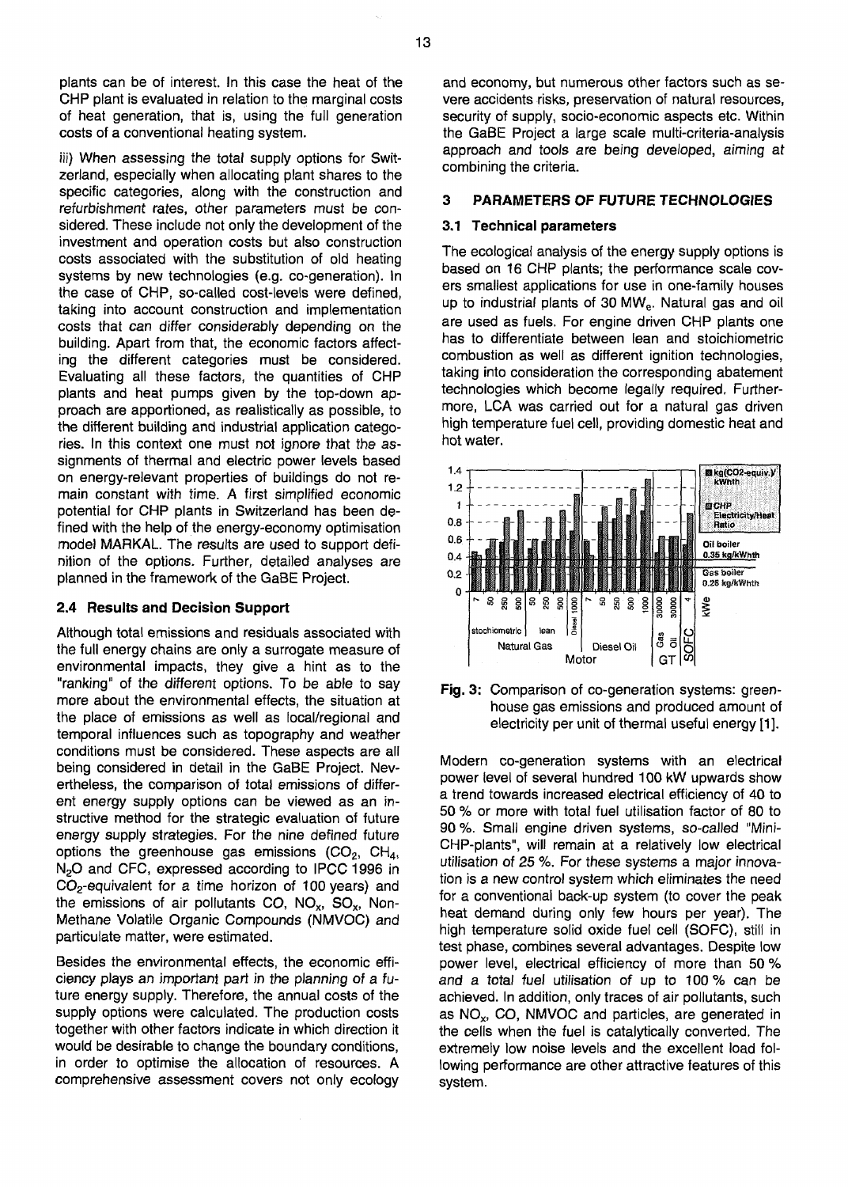plants can be of interest. In this case the heat of the CHP plant is evaluated in relation to the marginal costs of heat generation, that is, using the full generation costs of a conventional heating system.

iii) When assessing the total supply options for Switzerland, especially when allocating plant shares to the specific categories, along with the construction and refurbishment rates, other parameters must be considered. These include not only the development of the investment and operation costs but also construction costs associated with the substitution of old heating systems by new technologies (e.g. co-generation). In the case of CHP, so-called cost-levels were defined, taking into account construction and implementation costs that can differ considerably depending on the building. Apart from that, the economic factors affecting the different categories must be considered. Evaluating all these factors, the quantities of CHP plants and heat pumps given by the top-down approach are apportioned, as realistically as possible, to the different building and industrial application categories. In this context one must not ignore that the assignments of thermal and electric power levels based on energy-relevant properties of buildings do not remain constant with time. A first simplified economic potential for CHP plants in Switzerland has been defined with the help of the energy-economy optimisation model MARKAL. The results are used to support definition of the options. Further, detailed analyses are planned in the framework of the GaBE Project.

#### **2.4 Results and Decision Support**

Although total emissions and residuals associated with the full energy chains are only a surrogate measure of environmental impacts, they give a hint as to the "ranking" of the different options. To be able to say more about the environmental effects, the situation at the place of emissions as well as local/regional and temporal influences such as topography and weather conditions must be considered. These aspects are all being considered in detail in the GaBE Project. Nevertheless, the comparison of total emissions of different energy supply options can be viewed as an instructive method for the strategic evaluation of future energy supply strategies. For the nine defined future options the greenhouse gas emissions  $(CO<sub>2</sub>, CH<sub>4</sub>,$ N<sub>2</sub>O and CFC, expressed according to IPCC 1996 in  $CO<sub>2</sub>$ -equivalent for a time horizon of 100 years) and the emissions of air pollutants CO,  $NO_x$ ,  $SO_x$ , Non-Methane Volatile Organic Compounds (NMVOC) and particulate matter, were estimated.

Besides the environmental effects, the economic efficiency plays an important part in the planning of a future energy supply. Therefore, the annual costs of the supply options were calculated. The production costs together with other factors indicate in which direction it would be desirable to change the boundary conditions, in order to optimise the allocation of resources. A comprehensive assessment covers not only ecology and economy, but numerous other factors such as severe accidents risks, preservation of natural resources, security of supply, socio-economic aspects etc. Within the GaBE Project a large scale multi-criteria-analysis approach and tools are being developed, aiming at combining the criteria.

#### **3 PARAMETERS OF FUTURE TECHNOLOGIES**

#### **3.1 Technical parameters**

The ecological analysis of the energy supply options is based on 16 CHP plants; the performance scale covers smallest applications for use in one-family houses up to industrial plants of 30 MW<sub>e</sub>. Natural gas and oil are used as fuels. For engine driven CHP plants one has to differentiate between lean and stoichiometric combustion as well as different ignition technologies, taking into consideration the corresponding abatement technologies which become legally required. Furthermore, LCA was carried out for a natural gas driven high temperature fuel cell, providing domestic heat and hot water.





Modern co-generation systems with an electrical power level of several hundred 100 kW upwards show a trend towards increased electrical efficiency of 40 to 50 % or more with total fuel utilisation factor of 80 to 90 %. Small engine driven systems, so-called "Mini-CHP-plants", will remain at a relatively low electrical utilisation of 25 %. For these systems a major innovation is a new control system which eliminates the need for a conventional back-up system (to cover the peak heat demand during only few hours per year). The high temperature solid oxide fuel cell (SOFC), still in test phase, combines several advantages. Despite low power level, electrical efficiency of more than 50 % and a total fuel utilisation of up to 100% can be achieved. In addition, only traces of air pollutants, such as  $NO<sub>x</sub>$ , CO, NMVOC and particles, are generated in the cells when the fuel is catalytically converted. The extremely low noise levels and the excellent load following performance are other attractive features of this system.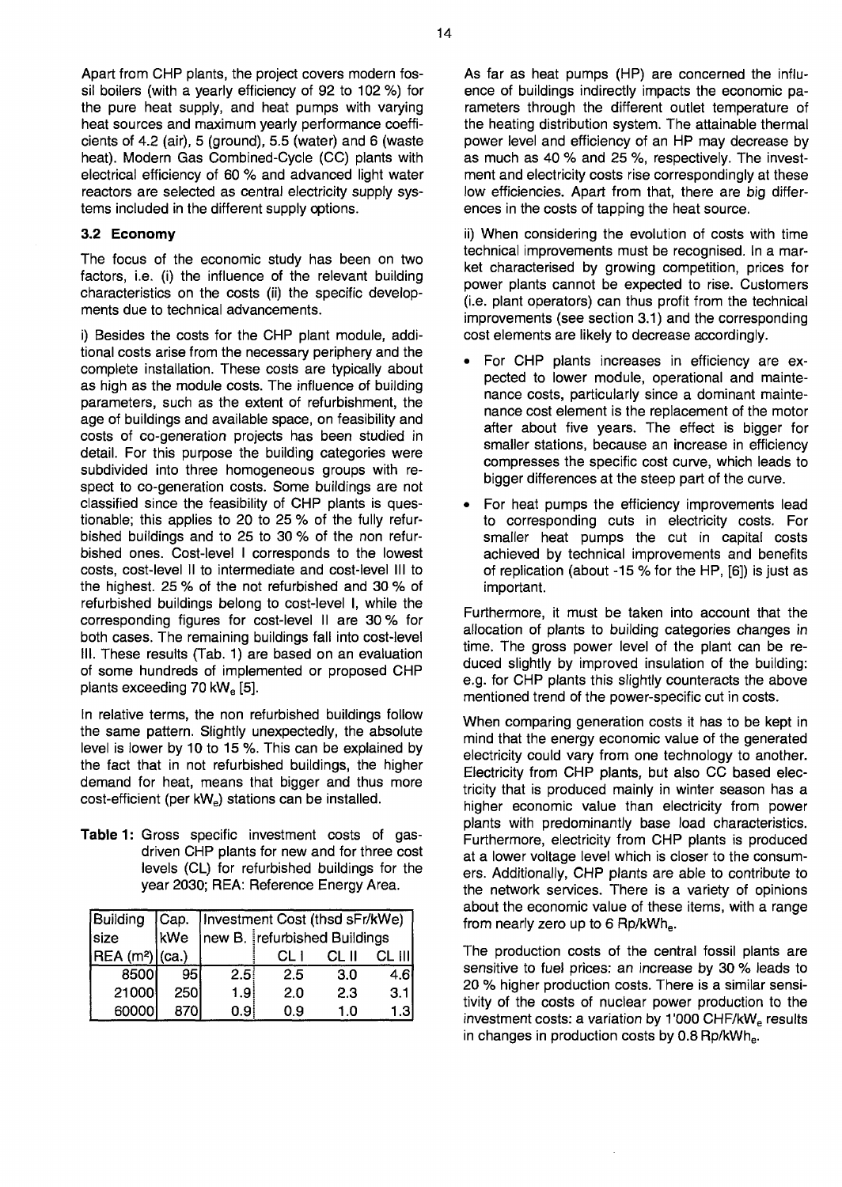Apart from CHP plants, the project covers modern fossil boilers (with a yearly efficiency of 92 to 102 %) for the pure heat supply, and heat pumps with varying heat sources and maximum yearly performance coefficients of 4.2 (air), 5 (ground), 5.5 (water) and 6 (waste heat). Modern Gas Combined-Cycle (CC) plants with electrical efficiency of 60 % and advanced light water reactors are selected as central electricity supply systems included in the different supply options.

### **3.2 Economy**

The focus of the economic study has been on two factors, i.e. (i) the influence of the relevant building characteristics on the costs (ii) the specific developments due to technical advancements.

i) Besides the costs for the CHP plant module, additional costs arise from the necessary periphery and the complete installation. These costs are typically about as high as the module costs. The influence of building parameters, such as the extent of refurbishment, the age of buildings and available space, on feasibility and costs of co-generation projects has been studied in detail. For this purpose the building categories were subdivided into three homogeneous groups with respect to co-generation costs. Some buildings are not classified since the feasibility of CHP plants is questionable; this applies to 20 to 25 % of the fully refurbished buildings and to 25 to 30 % of the non refurbished ones. Cost-level I corresponds to the lowest costs, cost-level II to intermediate and cost-level III to the highest. 25 % of the not refurbished and 30 % of refurbished buildings belong to cost-level I, while the corresponding figures for cost-level II are 30% for both cases. The remaining buildings fall into cost-level III. These results (Tab. 1) are based on an evaluation of some hundreds of implemented or proposed CHP plants exceeding 70 kW<sub>e</sub> [5].

In relative terms, the non refurbished buildings follow the same pattern. Slightly unexpectedly, the absolute level is lower by 10 to 15 %. This can be explained by the fact that in not refurbished buildings, the higher demand for heat, means that bigger and thus more cost-efficient (per kWe) stations can be installed.

**Table 1:** Gross specific investment costs of gasdriven CHP plants for new and for three cost levels (CL) for refurbished buildings for the year 2030; REA: Reference Energy Area.

| Building                     |            | Cap.   Investment Cost (thsd sFr/kWe) |                              |       |      |  |  |
|------------------------------|------------|---------------------------------------|------------------------------|-------|------|--|--|
| size                         | kWe        |                                       | new B. refurbished Buildings |       |      |  |  |
| HEA (m <sup>2</sup> )  (ca.) |            |                                       |                              | CL II |      |  |  |
| 8500                         | 951        | 2.5 <sub>1</sub>                      | 2.5                          | 3.0   | 4.6ľ |  |  |
| 21000                        | <b>250</b> | 1.9                                   | 2.0                          | 2.3   | 3.1  |  |  |
| 60000                        | 870        | 0.9                                   | 0.9                          | 1.0   | 1.3  |  |  |

As far as heat pumps (HP) are concerned the influence of buildings indirectly impacts the economic parameters through the different outlet temperature of the heating distribution system. The attainable thermal power level and efficiency of an HP may decrease by as much as 40 % and 25 %, respectively. The investment and electricity costs rise correspondingly at these low efficiencies. Apart from that, there are big differences in the costs of tapping the heat source.

ii) When considering the evolution of costs with time technical improvements must be recognised. In a market characterised by growing competition, prices for power plants cannot be expected to rise. Customers (i.e. plant operators) can thus profit from the technical improvements (see section 3.1) and the corresponding cost elements are likely to decrease accordingly.

- For CHP plants increases in efficiency are expected to lower module, operational and maintenance costs, particularly since a dominant maintenance cost element is the replacement of the motor after about five years. The effect is bigger for smaller stations, because an increase in efficiency compresses the specific cost curve, which leads to bigger differences at the steep part of the curve.
- For heat pumps the efficiency improvements lead to corresponding cuts in electricity costs. For smaller heat pumps the cut in capital costs achieved by technical improvements and benefits of replication (about -15 % for the HP, [6]) is just as important.

Furthermore, it must be taken into account that the allocation of plants to building categories changes in time. The gross power level of the plant can be reduced slightly by improved insulation of the building: e.g. for CHP plants this slightly counteracts the above mentioned trend of the power-specific cut in costs.

When comparing generation costs it has to be kept in mind that the energy economic value of the generated electricity could vary from one technology to another. Electricity from CHP plants, but also CC based electricity that is produced mainly in winter season has a higher economic value than electricity from power plants with predominantly base load characteristics. Furthermore, electricity from CHP plants is produced at a lower voltage level which is closer to the consumers. Additionally, CHP plants are able to contribute to the network services. There is a variety of opinions about the economic value of these items, with a range from nearly zero up to 6 Rp/kWh<sub>e</sub>.

The production costs of the central fossil plants are sensitive to fuel prices: an increase by 30 % leads to 20 % higher production costs. There is a similar sensitivity of the costs of nuclear power production to the investment costs: a variation by 1'000 CHF/kW<sub>e</sub> results in changes in production costs by 0.8 Rp/kWh.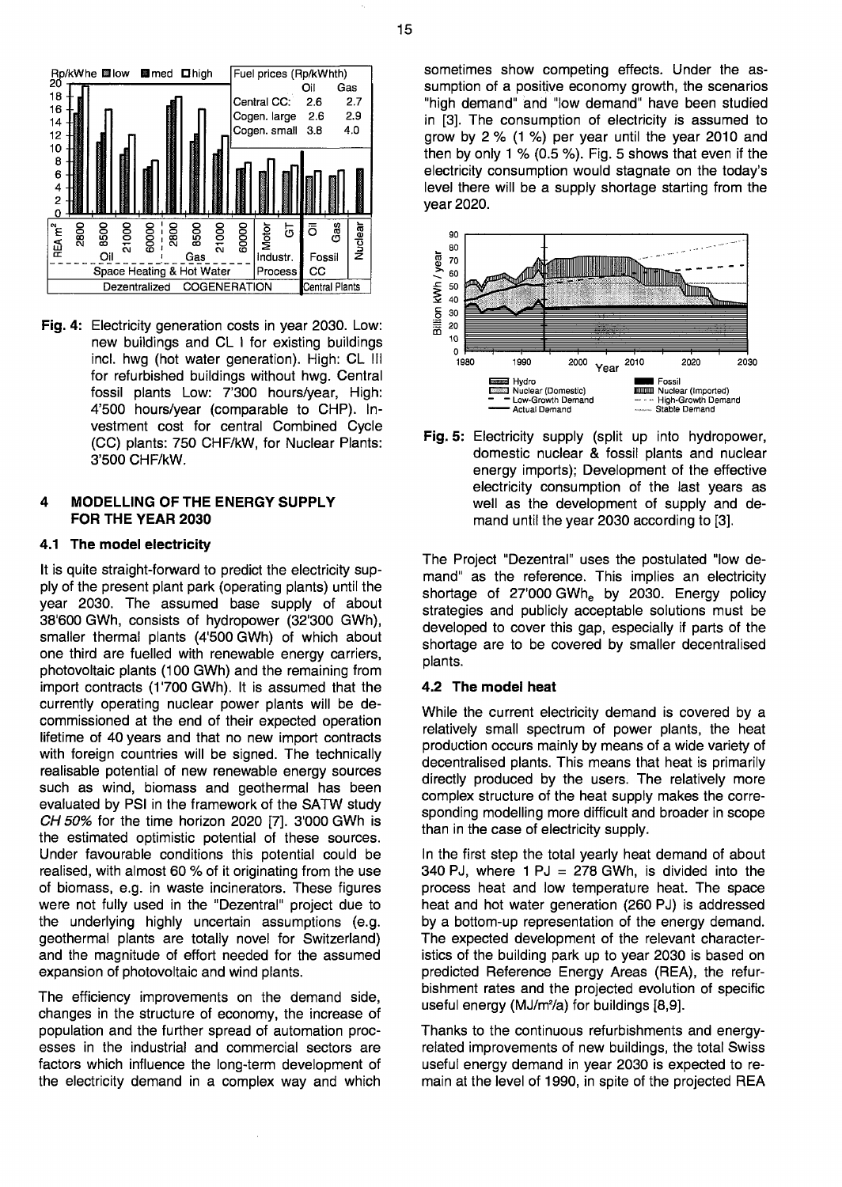

**Fig.** 4: Electricity generation costs in year 2030. Low: new buildings and CL I for existing buildings incl. hwg (hot water generation). High: CL III for refurbished buildings without hwg. Central fossil plants Low: 7'300 hours/year, High: 4'500 hours/year (comparable to CHP). Investment cost for central Combined Cycle (CC) plants: 750 CHF/kW, for Nuclear Plants: 3'500 CHF/kW.

### **4 MODELLING OF THE ENERGY SUPPLY FOR THE YEAR 2030**

# **4.1 The model electricity**

It is quite straight-forward to predict the electricity supply of the present plant park (operating plants) until the year 2030. The assumed base supply of about 38'600 GWh, consists of hydropower (32'300 GWh), smaller thermal plants (4'500 GWh) of which about one third are fuelled with renewable energy carriers, photovoltaic plants (100 GWh) and the remaining from import contracts (1700 GWh). It is assumed that the currently operating nuclear power plants will be decommissioned at the end of their expected operation lifetime of 40 years and that no new import contracts with foreign countries will be signed. The technically realisable potential of new renewable energy sources such as wind, biomass and geothermal has been evaluated by PSI in the framework of the SATW study  $CH 50\%$  for the time horizon 2020 [7]. 3'000 GWh is the estimated optimistic potential of these sources. Under favourable conditions this potential could be realised, with almost 60 % of it originating from the use of biomass, e.g. in waste incinerators. These figures were not fully used in the "Dezentral" project due to the underlying highly uncertain assumptions (e.g. geothermal plants are totally novel for Switzerland) and the magnitude of effort needed for the assumed expansion of photovoltaic and wind plants.

The efficiency improvements on the demand side, changes in the structure of economy, the increase of population and the further spread of automation processes in the industrial and commercial sectors are factors which influence the long-term development of the electricity demand in a complex way and which sometimes show competing effects. Under the assumption of a positive economy growth, the scenarios "high demand" and "low demand" have been studied in [3]. The consumption of electricity is assumed to grow by 2 % (1 %) per year until the year 2010 and then by only 1 % (0.5 %). Fig. 5 shows that even if the electricity consumption would stagnate on the today's level there will be a supply shortage starting from the year 2020.



**Fig.** 5: Electricity supply (split up into hydropower, domestic nuclear & fossil plants and nuclear energy imports); Development of the effective electricity consumption of the last years as well as the development of supply and demand until the year 2030 according to [3].

The Project "Dezentral" uses the postulated "low demand" as the reference. This implies an electricity shortage of 27'000 GWhe by 2030. Energy policy strategies and publicly acceptable solutions must be developed to cover this gap, especially if parts of the shortage are to be covered by smaller decentralised plants.

### **4.2 The model heat**

While the current electricity demand is covered by a relatively small spectrum of power plants, the heat production occurs mainly by means of a wide variety of decentralised plants. This means that heat is primarily directly produced by the users. The relatively more complex structure of the heat supply makes the corresponding modelling more difficult and broader in scope than in the case of electricity supply.

In the first step the total yearly heat demand of about 340 PJ, where  $1 \text{ PJ} = 278 \text{ GWh}$ , is divided into the process heat and low temperature heat. The space heat and hot water generation (260 PJ) is addressed by a bottom-up representation of the energy demand. The expected development of the relevant characteristics of the building park up to year 2030 is based on predicted Reference Energy Areas (REA), the refurbishment rates and the projected evolution of specific useful energy (MJ/m<sup>2</sup>/a) for buildings [8,9].

Thanks to the continuous refurbishments and energyrelated improvements of new buildings, the total Swiss useful energy demand in year 2030 is expected to remain at the level of 1990, in spite of the projected REA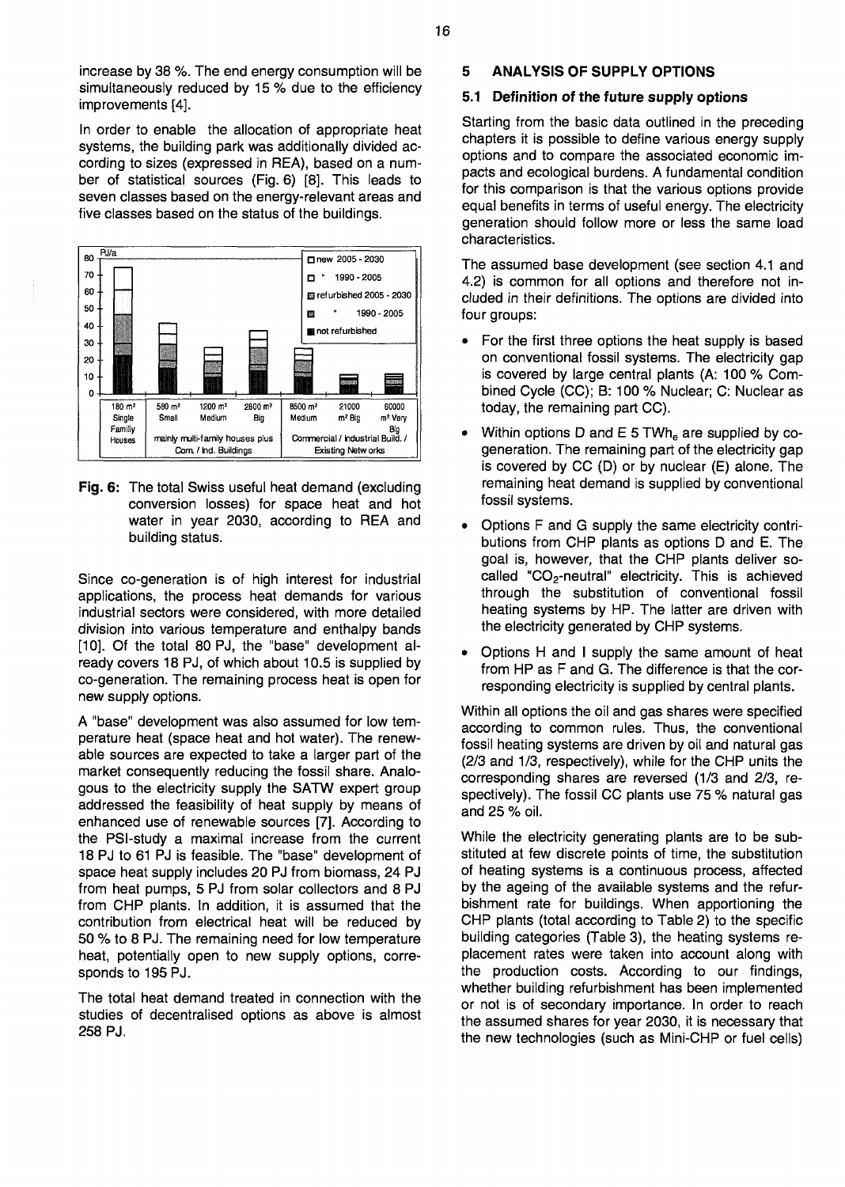increase by 38 %. The end energy consumption will be simultaneously reduced by 15 % due to the efficiency improvements [4].

In order to enable the allocation of appropriate heat systems, the building park was additionally divided according to sizes (expressed in REA), based on a number of statistical sources (Fig. 6) [8]. This leads to seven classes based on the energy-relevant areas and five classes based on the status of the buildings.



**Fig.** 6: The total Swiss useful heat demand (excluding conversion losses) for space heat and hot water in year 2030, according to REA and building status.

Since co-generation is of high interest for industrial applications, the process heat demands for various industrial sectors were considered, with more detailed division into various temperature and enthalpy bands [10]. Of the total 80 PJ, the "base" development already covers 18 PJ, of which about 10.5 is supplied by co-generation. The remaining process heat is open for new supply options.

A "base" development was also assumed for low temperature heat (space heat and hot water). The renewable sources are expected to take a larger part of the market consequently reducing the fossil share. Analogous to the electricity supply the SATW expert group addressed the feasibility of heat supply by means of enhanced use of renewable sources [7]. According to the PSI-study a maximal increase from the current 18 PJ to 61 PJ is feasible. The "base" development of space heat supply includes 20 PJ from biomass, 24 PJ from heat pumps, 5 PJ from solar collectors and 8 PJ from CHP plants. In addition, it is assumed that the contribution from electrical heat will be reduced by 50 % to 8 PJ. The remaining need for low temperature heat, potentially open to new supply options, corresponds to 195 PJ.

The total heat demand treated in connection with the studies of decentralised options as above is almost 258 PJ.

# **5 ANALYSIS OF SUPPLY OPTIONS**

# **5.1 Definition of the future supply options**

Starting from the basic data outlined in the preceding chapters it is possible to define various energy supply options and to compare the associated economic impacts and ecological burdens. A fundamental condition for this comparison is that the various options provide equal benefits in terms of useful energy. The electricity generation should follow more or less the same load characteristics.

The assumed base development (see section 4.1 and 4.2) is common for all options and therefore not included in their definitions. The options are divided into four groups:

- For the first three options the heat supply is based on conventional fossil systems. The electricity gap is covered by large central plants (A: 100 % Combined Cycle (CC); B: 100 % Nuclear; C: Nuclear as today, the remaining part CC).
- Within options D and E 5 TWh<sub>e</sub> are supplied by cogeneration. The remaining part of the electricity gap is covered by CC (D) or by nuclear (E) alone. The remaining heat demand is supplied by conventional fossil systems.
- Options F and G supply the same electricity contributions from CHP plants as options D and E. The goal is, however, that the CHP plants deliver socalled " $CO<sub>2</sub>$ -neutral" electricity. This is achieved through the substitution of conventional fossil heating systems by HP. The latter are driven with the electricity generated by CHP systems.
- Options H and I supply the same amount of heat from HP as F and G. The difference is that the corresponding electricity is supplied by central plants.

Within all options the oil and gas shares were specified according to common rules. Thus, the conventional fossil heating systems are driven by oil and natural gas (2/3 and 1/3, respectively), while for the CHP units the corresponding shares are reversed (1/3 and 2/3, respectively). The fossil CC plants use 75 % natural gas and 25 % oil.

While the electricity generating plants are to be substituted at few discrete points of time, the substitution of heating systems is a continuous process, affected by the ageing of the available systems and the refurbishment rate for buildings. When apportioning the CHP plants (total according to Table 2) to the specific building categories (Table 3), the heating systems replacement rates were taken into account along with the production costs. According to our findings, whether building refurbishment has been implemented or not is of secondary importance. In order to reach the assumed shares for year 2030, it is necessary that the new technologies (such as Mini-CHP or fuel cells)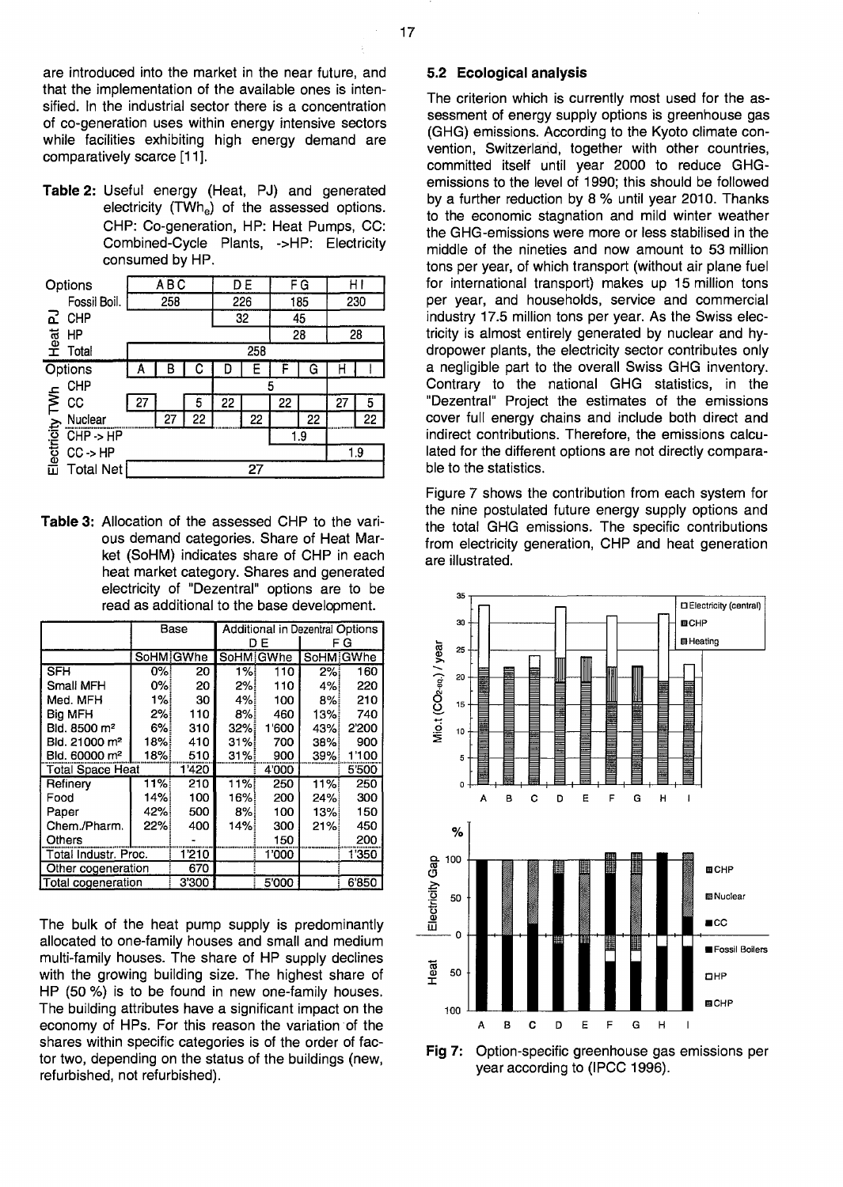are introduced into the market in the near future, and that the implementation of the available ones is intensified. In the industrial sector there is a concentration of co-generation uses within energy intensive sectors while facilities exhibiting high energy demand are comparatively scarce [11].

**Table 2:** Useful energy (Heat, PJ) and generated electricity (TWh<sub>e</sub>) of the assessed options. CHP: Co-generation, HP: Heat Pumps, CC: Combined-Cycle Plants, ->HP: Electricity consumed by HP.

| Options                    | <b>ABC</b> |    |    |     | D E | F G |     | ΗI  |    |
|----------------------------|------------|----|----|-----|-----|-----|-----|-----|----|
| Fossil Boil.<br>258        |            |    |    | 226 |     | 185 |     | 230 |    |
| 5<br>CHP                   |            |    |    |     | 32  | 45  |     |     |    |
| Heat<br>HP                 |            |    |    |     |     | 28  |     | 28  |    |
| Total                      | 258        |    |    |     |     |     |     |     |    |
| Options                    | А          | B  | С  | D   | F   |     | G   |     |    |
| <b>CHP</b>                 | 5          |    |    |     |     |     |     |     |    |
| CC                         | 27         |    | 5  | 22  |     | 22  |     | 27  | 5  |
| Electricity TWh<br>Nuclear |            | 27 | 22 |     | 22  |     | 22  |     | 22 |
| $CHP \rightarrow HP$       |            |    |    |     |     |     | 1.9 |     |    |
| $CC$ -> $HP$               |            |    |    |     |     |     | 1.9 |     |    |
| <b>Total Net</b>           |            |    |    |     | 27  |     |     |     |    |

**Table 3:** Allocation of the assessed CHP to the various demand categories. Share of Heat Market (SoHM) indicates share of CHP in each heat market category. Shares and generated electricity of "Dezentral" options are to be read as additional to the base development.

|                           |      | Base             | Additional in Dezentral Options |           |       |           |  |  |
|---------------------------|------|------------------|---------------------------------|-----------|-------|-----------|--|--|
|                           |      |                  |                                 | DЕ        | FG    |           |  |  |
|                           |      | <b>SoHM GWhe</b> |                                 | SoHM GWhe |       | SoHM GWhe |  |  |
| <b>SFH</b>                | 0%!  | 20               | 1%                              | 110       | 2%i   | 160       |  |  |
| Small MFH                 | 0%i  | 20               | 2%                              | 110       | 4%!   | 220       |  |  |
| Med. MFH                  | 1%!  | 30               | 4%                              | 100       | 8%!   | 210       |  |  |
| Big MFH                   | 2%!  | 110              | 8%!                             | 460       | 13%   | 740       |  |  |
| Bld. 8500 m <sup>2</sup>  | 6%!  | 310              | 32%                             | 1'600     | 43%   | 2'200     |  |  |
| Bld. 21000 m <sup>2</sup> | 18%! | 410              | 31%                             | 700       | 38%   | 900       |  |  |
| Bld. 60000 m <sup>2</sup> | 18%  | 510              | 31%!                            | 900       | 39%   | 1'100     |  |  |
| <b>Total Space Heat</b>   |      | 1'420            |                                 | 4'000     |       | 5'500     |  |  |
| Refinery                  | 11%  | 210              | 11%                             | 250       | 11%   | 250       |  |  |
| Food                      | 14%  | 100              | 16%!                            | 200       | 24%   | 300       |  |  |
| Paper                     | 42%  | 500              | 8%                              | 100       | 13%   | 150       |  |  |
| Chem./Pharm.              | 22%  | 400              | 14%                             | 300       | 21%   | 450       |  |  |
| Others                    |      |                  |                                 | 150       |       | 200       |  |  |
| Total Industr. Proc.      | 1210 |                  | 1'000                           |           | 1'350 |           |  |  |
| Other cogeneration        | 670  |                  |                                 |           |       |           |  |  |
| Total cogeneration        |      | 3'300            |                                 | 5'000     |       | 6'850     |  |  |

The bulk of the heat pump supply is predominantly allocated to one-family houses and small and medium multi-family houses. The share of HP supply declines with the growing building size. The highest share of HP (50 %) is to be found in new one-family houses. The building attributes have a significant impact on the economy of HPs. For this reason the variation of the shares within specific categories is of the order of factor two, depending on the status of the buildings (new, refurbished, not refurbished).

#### **5.2 Ecological analysis**

The criterion which is currently most used for the assessment of energy supply options is greenhouse gas (GHG) emissions. According to the Kyoto climate convention, Switzerland, together with other countries, committed itself until year 2000 to reduce GHGemissions to the level of 1990; this should be followed by a further reduction by 8 % until year 2010. Thanks to the economic stagnation and mild winter weather the GHG-emissions were more or less stabilised in the middle of the nineties and now amount to 53 million tons per year, of which transport (without air plane fuel for international transport) makes up 15 million tons per year, and households, service and commercial industry 17.5 million tons per year. As the Swiss electricity is almost entirely generated by nuclear and hydropower plants, the electricity sector contributes only a negligible part to the overall Swiss GHG inventory. Contrary to the national GHG statistics, in the "Dezentral" Project the estimates of the emissions cover full energy chains and include both direct and indirect contributions. Therefore, the emissions calculated for the different options are not directly comparable to the statistics.

Figure 7 shows the contribution from each system for the nine postulated future energy supply options and the total GHG emissions. The specific contributions from electricity generation, CHP and heat generation are illustrated.



**Fig** 7: Option-specific greenhouse gas emissions per year according to (IPCC 1996).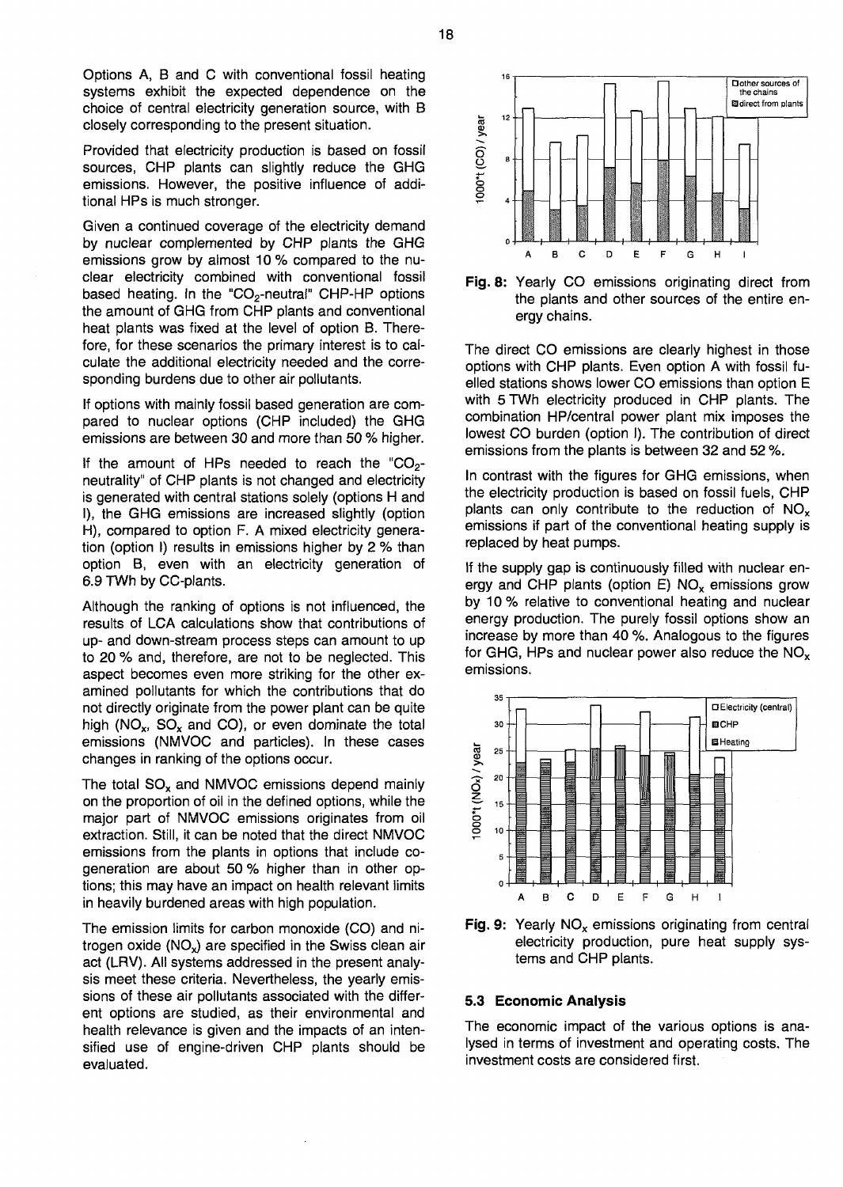Options A, B and C with conventional fossil heating systems exhibit the expected dependence on the choice of central electricity generation source, with B closely corresponding to the present situation.

Provided that electricity production is based on fossil sources, CHP plants can slightly reduce the GHG emissions. However, the positive influence of additional HPs is much stronger.

Given a continued coverage of the electricity demand by nuclear complemented by CHP plants the GHG emissions grow by almost 10 % compared to the nuclear electricity combined with conventional fossil based heating. In the "CO<sub>2</sub>-neutral" CHP-HP options the amount of GHG from CHP plants and conventional heat plants was fixed at the level of option B. Therefore, for these scenarios the primary interest is to calculate the additional electricity needed and the corresponding burdens due to other air pollutants.

If options with mainly fossil based generation are compared to nuclear options (CHP included) the GHG emissions are between 30 and more than 50 % higher.

If the amount of HPs needed to reach the " $CO<sub>2</sub>$ neutrality" of CHP plants is not changed and electricity is generated with central stations solely (options H and I), the GHG emissions are increased slightly (option H), compared to option F. A mixed electricity generation (option I) results in emissions higher by 2 % than option B, even with an electricity generation of 6.9 TWh by CC-plants.

Although the ranking of options is not influenced, the results of LCA calculations show that contributions of up- and down-stream process steps can amount to up to 20 % and, therefore, are not to be neglected. This aspect becomes even more striking for the other examined pollutants for which the contributions that do not directly originate from the power plant can be quite high (NO<sub>x</sub>, SO<sub>x</sub> and CO), or even dominate the total emissions (NMVOC and particles). In these cases changes in ranking of the options occur.

The total  $SO_x$  and NMVOC emissions depend mainly on the proportion of oil in the defined options, while the major part of NMVOC emissions originates from oil extraction. Still, it can be noted that the direct NMVOC emissions from the plants in options that include cogeneration are about 50 % higher than in other options; this may have an impact on health relevant limits in heavily burdened areas with high population.

The emission limits for carbon monoxide (CO) and nitrogen oxide (NO<sub>x</sub>) are specified in the Swiss clean air act (LRV). All systems addressed in the present analysis meet these criteria. Nevertheless, the yearly emissions of these air pollutants associated with the different options are studied, as their environmental and health relevance is given and the impacts of an intensified use of engine-driven CHP plants should be evaluated.



Fig. 8: Yearly CO emissions originating direct from the plants and other sources of the entire energy chains.

The direct CO emissions are clearly highest in those options with CHP plants. Even option A with fossil fuelled stations shows lower CO emissions than option E with 5 TWh electricity produced in CHP plants. The combination HP/central power plant mix imposes the lowest CO burden (option I). The contribution of direct emissions from the plants is between 32 and 52 %.

In contrast with the figures for GHG emissions, when the electricity production is based on fossil fuels, CHP plants can only contribute to the reduction of  $NO<sub>x</sub>$ emissions if part of the conventional heating supply is replaced by heat pumps.

If the supply gap is continuously filled with nuclear energy and CHP plants (option E)  $NO<sub>x</sub>$  emissions grow by 10% relative to conventional heating and nuclear energy production. The purely fossil options show an increase by more than 40 %. Analogous to the figures for GHG, HPs and nuclear power also reduce the  $NO<sub>x</sub>$ emissions.



**Fig. 9:** Yearly  $NO_x$  emissions originating from central electricity production, pure heat supply systems and CHP plants.

#### **5.3 Economic Analysis**

The economic impact of the various options is analysed in terms of investment and operating costs. The investment costs are considered first.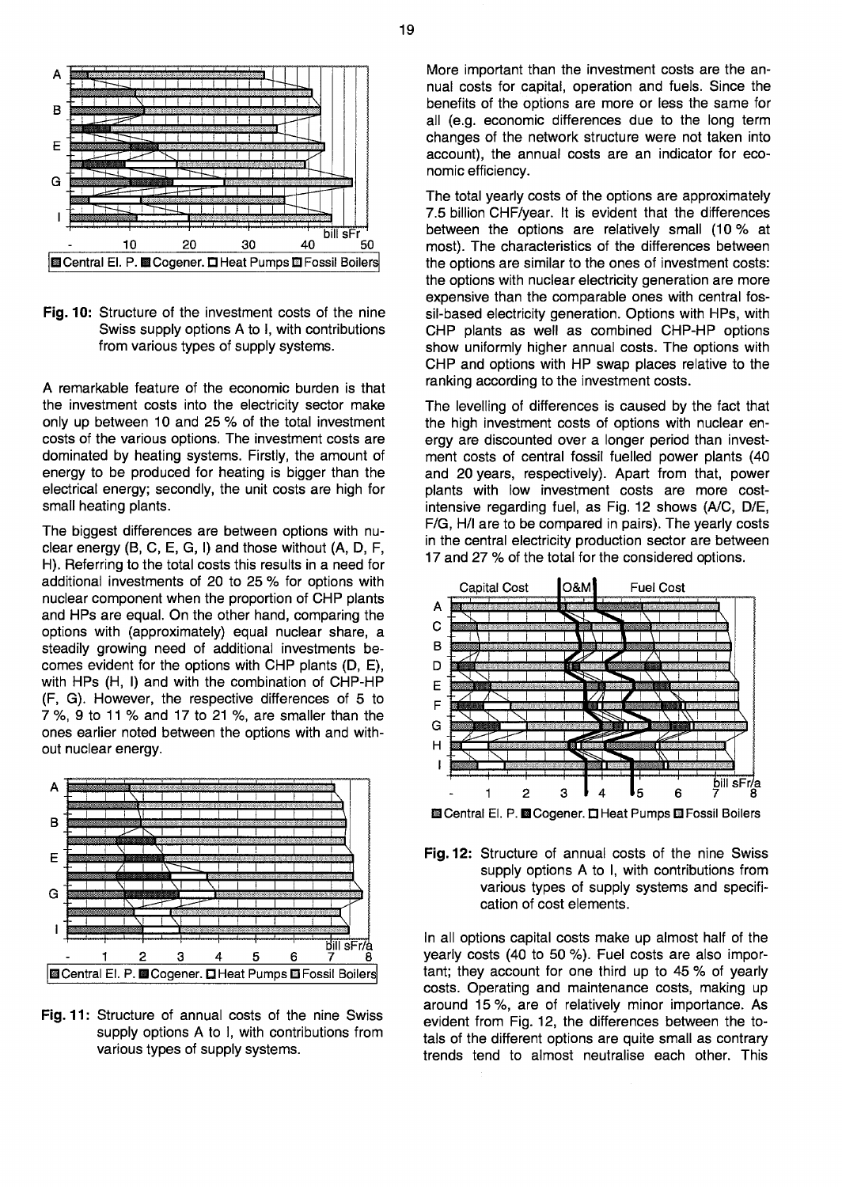

**Fig.** 10: Structure of the investment costs of the nine Swiss supply options A to I, with contributions from various types of supply systems.

A remarkable feature of the economic burden is that the investment costs into the electricity sector make only up between 10 and 25 % of the total investment costs of the various options. The investment costs are dominated by heating systems. Firstly, the amount of energy to be produced for heating is bigger than the electrical energy; secondly, the unit costs are high for small heating plants.

The biggest differences are between options with nuclear energy (B, C, E, G, I) and those without (A, D, F, H). Referring to the total costs this results in a need for additional investments of 20 to 25 % for options with nuclear component when the proportion of CHP plants and HPs are equal. On the other hand, comparing the options with (approximately) equal nuclear share, a steadily growing need of additional investments becomes evident for the options with CHP plants (D, E), with HPs (H, I) and with the combination of CHP-HP (F, G). However, the respective differences of 5 to 7 %, 9 to 11 % and 17 to 21 %, are smaller than the ones earlier noted between the options with and without nuclear energy.



**Fig.** 11: Structure of annual costs of the nine Swiss supply options A to I, with contributions from various types of supply systems.

More important than the investment costs are the annual costs for capital, operation and fuels. Since the benefits of the options are more or less the same for all (e.g. economic differences due to the long term changes of the network structure were not taken into account), the annual costs are an indicator for economic efficiency.

The total yearly costs of the options are approximately 7.5 billion CHF/year. It is evident that the differences between the options are relatively small (10% at most). The characteristics of the differences between the options are similar to the ones of investment costs: the options with nuclear electricity generation are more expensive than the comparable ones with central fossil-based electricity generation. Options with HPs, with CHP plants as well as combined CHP-HP options show uniformly higher annual costs. The options with CHP and options with HP swap places relative to the ranking according to the investment costs.

The levelling of differences is caused by the fact that the high investment costs of options with nuclear energy are discounted over a longer period than investment costs of central fossil fuelled power plants (40 and 20 years, respectively). Apart from that, power plants with low investment costs are more costintensive regarding fuel, as Fig. 12 shows (A/C, D/E, F/G, H/l are to be compared in pairs). The yearly costs in the central electricity production sector are between 17 and 27 % of the total for the considered options.



**Fig.** 12: Structure of annual costs of the nine Swiss supply options A to I, with contributions from various types of supply systems and specification of cost elements.

In all options capital costs make up almost half of the yearly costs (40 to 50 %). Fuel costs are also important; they account for one third up to 45 % of yearly costs. Operating and maintenance costs, making up around 15%, are of relatively minor importance. As evident from Fig. 12, the differences between the totals of the different options are quite small as contrary trends tend to almost neutralise each other. This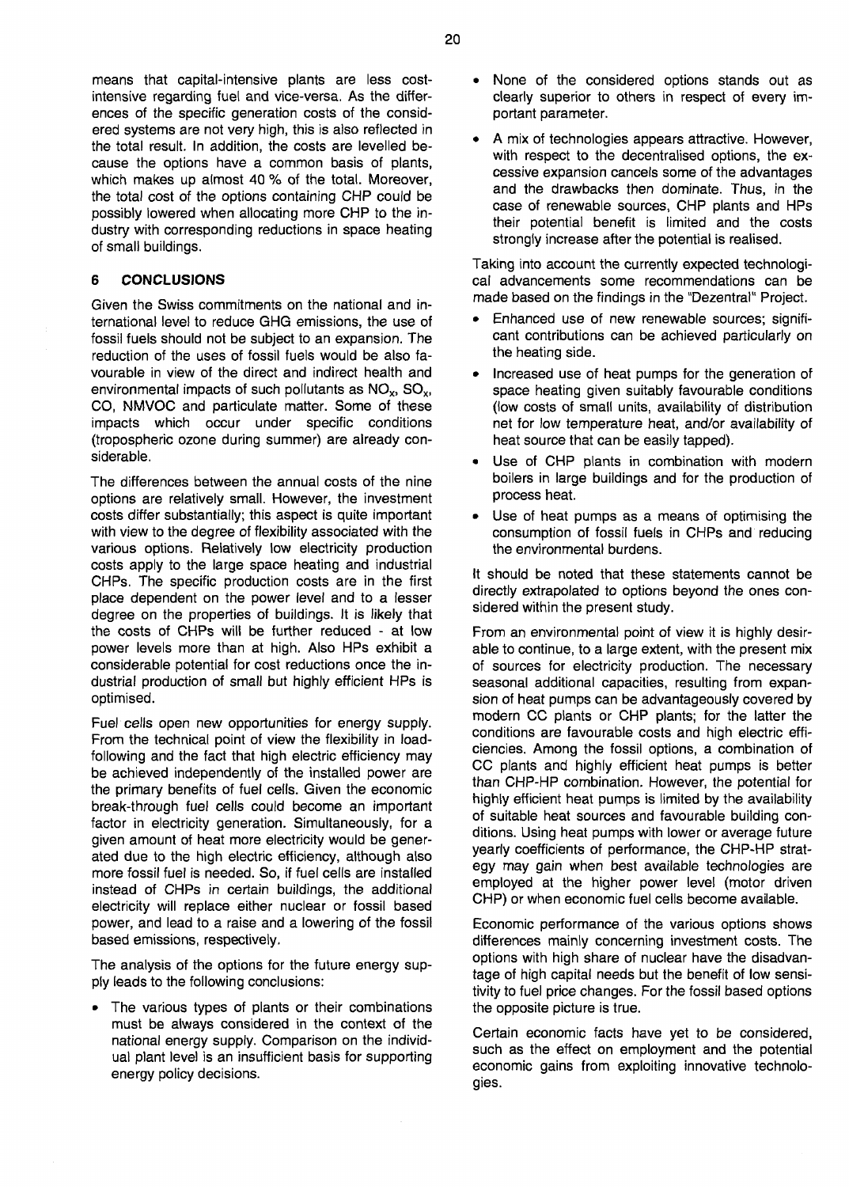means that capital-intensive plants are less costintensive regarding fuel and vice-versa. As the differences of the specific generation costs of the considered systems are not very high, this is also reflected in the total result. In addition, the costs are levelled because the options have a common basis of plants, which makes up almost 40 % of the total. Moreover, the total cost of the options containing CHP could be possibly lowered when allocating more CHP to the industry with corresponding reductions in space heating of small buildings.

# **6 CONCLUSIONS**

Given the Swiss commitments on the national and international level to reduce GHG emissions, the use of fossil fuels should not be subject to an expansion. The reduction of the uses of fossil fuels would be also favourable in view of the direct and indirect health and environmental impacts of such pollutants as  $NO_x$ ,  $SO_x$ , CO, NMVOC and particulate matter. Some of these impacts which occur under specific conditions (tropospheric ozone during summer) are already considerable.

The differences between the annual costs of the nine options are relatively small. However, the investment costs differ substantially; this aspect is quite important with view to the degree of flexibility associated with the various options. Relatively low electricity production costs apply to the large space heating and industrial CHPs. The specific production costs are in the first place dependent on the power level and to a lesser degree on the properties of buildings. It is likely that the costs of CHPs will be further reduced - at low power levels more than at high. Also HPs exhibit a considerable potential for cost reductions once the industrial production of small but highly efficient HPs is optimised.

Fuel cells open new opportunities for energy supply. From the technical point of view the flexibility in loadfollowing and the fact that high electric efficiency may be achieved independently of the installed power are the primary benefits of fuel cells. Given the economic break-through fuel cells could become an important factor in electricity generation. Simultaneously, for a given amount of heat more electricity would be generated due to the high electric efficiency, although also more fossil fuel is needed. So, if fuel cells are installed instead of CHPs in certain buildings, the additional electricity will replace either nuclear or fossil based power, and lead to a raise and a lowering of the fossil based emissions, respectively.

The analysis of the options for the future energy supply leads to the following conclusions:

• The various types of plants or their combinations must be always considered in the context of the national energy supply. Comparison on the individual plant level is an insufficient basis for supporting energy policy decisions.

- None of the considered options stands out as clearly superior to others in respect of every important parameter.
- A mix of technologies appears attractive. However, with respect to the decentralised options, the excessive expansion cancels some of the advantages and the drawbacks then dominate. Thus, in the case of renewable sources, CHP plants and HPs their potential benefit is limited and the costs strongly increase after the potential is realised.

Taking into account the currently expected technological advancements some recommendations can be made based on the findings in the "Dezentral" Project.

- Enhanced use of new renewable sources; significant contributions can be achieved particularly on the heating side.
- Increased use of heat pumps for the generation of space heating given suitably favourable conditions (low costs of small units, availability of distribution net for low temperature heat, and/or availability of heat source that can be easily tapped).
- Use of CHP plants in combination with modern boilers in large buildings and for the production of process heat.
- Use of heat pumps as a means of optimising the consumption of fossil fuels in CHPs and reducing the environmental burdens.

It should be noted that these statements cannot be directly extrapolated to options beyond the ones considered within the present study.

From an environmental point of view it is highly desirable to continue, to a large extent, with the present mix of sources for electricity production. The necessary seasonal additional capacities, resulting from expansion of heat pumps can be advantageously covered by modern CC plants or CHP plants; for the latter the conditions are favourable costs and high electric efficiencies. Among the fossil options, a combination of CC plants and highly efficient heat pumps is better than CHP-HP combination. However, the potential for highly efficient heat pumps is limited by the availability of suitable heat sources and favourable building conditions. Using heat pumps with lower or average future yearly coefficients of performance, the CHP-HP strategy may gain when best available technologies are employed at the higher power level (motor driven CHP) or when economic fuel cells become available.

Economic performance of the various options shows differences mainly concerning investment costs. The options with high share of nuclear have the disadvantage of high capital needs but the benefit of low sensitivity to fuel price changes. For the fossil based options the opposite picture is true.

Certain economic facts have yet to be considered, such as the effect on employment and the potential economic gains from exploiting innovative technologies.